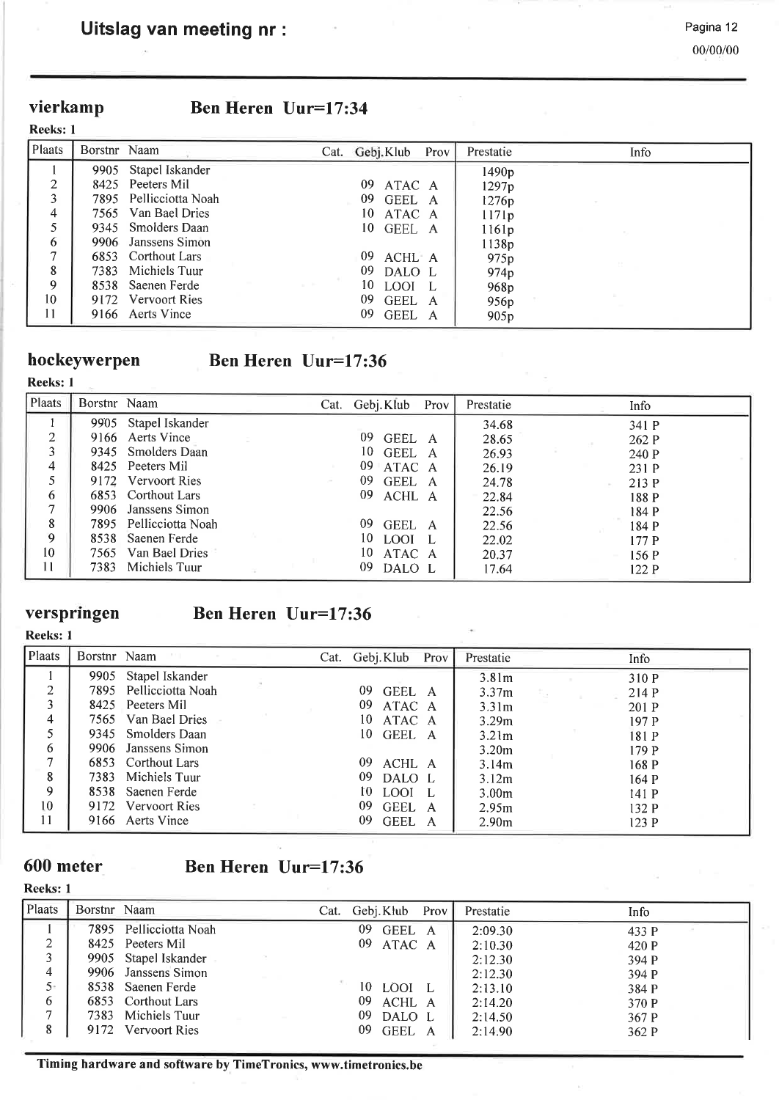## vierkamp

|  |  |  | <b>Ben Heren Uur=17:34</b> |
|--|--|--|----------------------------|
|--|--|--|----------------------------|

| Plaats | Borstnr Naam |                        |         |     | Cat. Gebj. Klub Prov | Prestatie        | Info |
|--------|--------------|------------------------|---------|-----|----------------------|------------------|------|
|        | 9905         | Stapel Iskander        |         |     |                      | 1490p            |      |
| 2      |              | 8425 Peeters Mil       |         | 09  | ATAC A               | 1297p            |      |
| 3      |              | 7895 Pellicciotta Noah |         |     | 09 GEEL A            | 1276p            |      |
| 4      |              | 7565 Van Bael Dries    |         | 10. | ATAC A               | 1171p            |      |
|        |              | 9345 Smolders Daan     |         |     | 10 GEEL A            | 1161p            |      |
| 6      |              | 9906 Janssens Simon    |         |     |                      | 1138p            |      |
| ┑      |              | 6853 Corthout Lars     |         | 09  | ACHL A               | 975 <sub>p</sub> |      |
| 8      |              | 7383 Michiels Tuur     |         |     | 09 DALO L            | 974 <sub>p</sub> |      |
| 9      |              | 8538 Saenen Ferde      | and the | 10  | LOOI L               | 968p             |      |
| 10     |              | 9172 Vervoort Ries     |         | 09  | GEEL A               | 956 <sub>p</sub> |      |
| 11     |              | 9166 Aerts Vince       |         | 09. | GEEL A               | 905p             |      |

Reeks: I

Reeks: <sup>1</sup>

# hockeywerpen Ben Heren Uur=17:36

| Plaats                          | Borstnr Naam |                        |  | Cat. Gebj. Klub Prov | Prestatie | Info  |  |
|---------------------------------|--------------|------------------------|--|----------------------|-----------|-------|--|
|                                 | 9905         | Stapel Iskander        |  |                      | 34.68     | 341 P |  |
| <sup><math>\supset</math></sup> |              | 9166 Aerts Vince       |  | 09<br>GEEL A         | 28.65     | 262 P |  |
| 3                               |              | 9345 Smolders Daan     |  | 10.<br>GEEL A        | 26.93     | 240 P |  |
| 4                               |              | 8425 Peeters Mil       |  | 09 ATAC A            | 26.19     | 231 P |  |
|                                 | 9172         | <b>Vervoort Ries</b>   |  | 09.<br>GEEL A        | 24.78     | 213 P |  |
| 6                               |              | 6853 Corthout Lars     |  | 09<br>ACHL A         | 22.84     | 188 P |  |
|                                 |              | 9906 Janssens Simon    |  |                      | 22.56     | 184 P |  |
| 8                               |              | 7895 Pellicciotta Noah |  | 09.<br>GEEL A        | 22.56     | 184 P |  |
| 9                               | 8538         | Saenen Ferde           |  | 10.<br>LOOI L        | 22.02     | 177P  |  |
| 10                              |              | 7565 Van Bael Dries    |  | 10<br>ATAC A         | 20.37     | 156P  |  |
| 11                              |              | 7383 Michiels Tuur     |  | 09<br>DALO L         | 17.64     | 122P  |  |

## verspringen

## Ben Heren Uur=17:36

| <b>Reeks: 1</b> |              |                        |  |                 |      |                   |       |
|-----------------|--------------|------------------------|--|-----------------|------|-------------------|-------|
| Plaats          | Borstnr Naam |                        |  | Cat. Gebj. Klub | Prov | Prestatie         | Info  |
|                 | 9905         | Stapel Iskander        |  |                 |      | 3.81 <sub>m</sub> | 310 P |
| ∍               |              | 7895 Pellicciotta Noah |  | 09<br>GEEL A    |      | 3.37 <sub>m</sub> | 214 P |
| 3               |              | 8425 Peeters Mil       |  | 09<br>ATAC A    |      | 3.31 <sub>m</sub> | 201 P |
| $\overline{4}$  |              | 7565 Van Bael Dries    |  | 10<br>ATAC A    |      | 3.29 <sub>m</sub> | 197 P |
|                 |              | 9345 Smolders Daan     |  | 10 GEEL A       |      | 3.21 <sub>m</sub> | 181 P |
| 6               |              | 9906 Janssens Simon    |  |                 |      | 3.20 <sub>m</sub> | 179 P |
| ⇁               |              | 6853 Corthout Lars     |  | 09<br>ACHL A    |      | 3.14m             | 168 P |
| 8               | 7383         | Michiels Tuur          |  | 09<br>DALO L    |      | 3.12m             | 164 P |
| 9               |              | 8538 Saenen Ferde      |  | 10.<br>LOOI L   |      | 3.00 <sub>m</sub> | 141P  |
| 10              |              | 9172 Vervoort Ries     |  | 09<br>GEEL A    |      | 2.95m             | 132 P |
| 11              |              | 9166 Aerts Vince       |  | 09<br>GEEL A    |      | 2.90 <sub>m</sub> | 123P  |

## 600 meter

Reeks: I

## Ben Heren Uur=17:36

| Plaats         | Borstnr Naam |                        | Cat. Gebj.Klub Prov |        | Prestatie | Info  |
|----------------|--------------|------------------------|---------------------|--------|-----------|-------|
|                |              | 7895 Pellicciotta Noah | 09                  | GEEL A | 2:09.30   | 433 P |
| 2              |              | 8425 Peeters Mil       | 09 ATAC A           |        | 2:10.30   | 420 P |
| 3              |              | 9905 Stapel Iskander   |                     |        | 2:12.30   | 394 P |
| 4              |              | 9906 Janssens Simon    |                     |        | 2:12.30   | 394 P |
| $5^{\circ}$    |              | 8538 Saenen Ferde      | 10<br>LOOI L        |        | 2:13.10   | 384 P |
| 6              |              | 6853 Corthout Lars     | 09                  | ACHL A | 2:14.20   | 370 P |
| $\overline{ }$ |              | 7383 Michiels Tuur     | 09                  | DALO L | 2:14.50   | 367 P |
| 8              |              | 9172 Vervoort Ries     | 09                  | GEEL A | 2:14.90   | 362 P |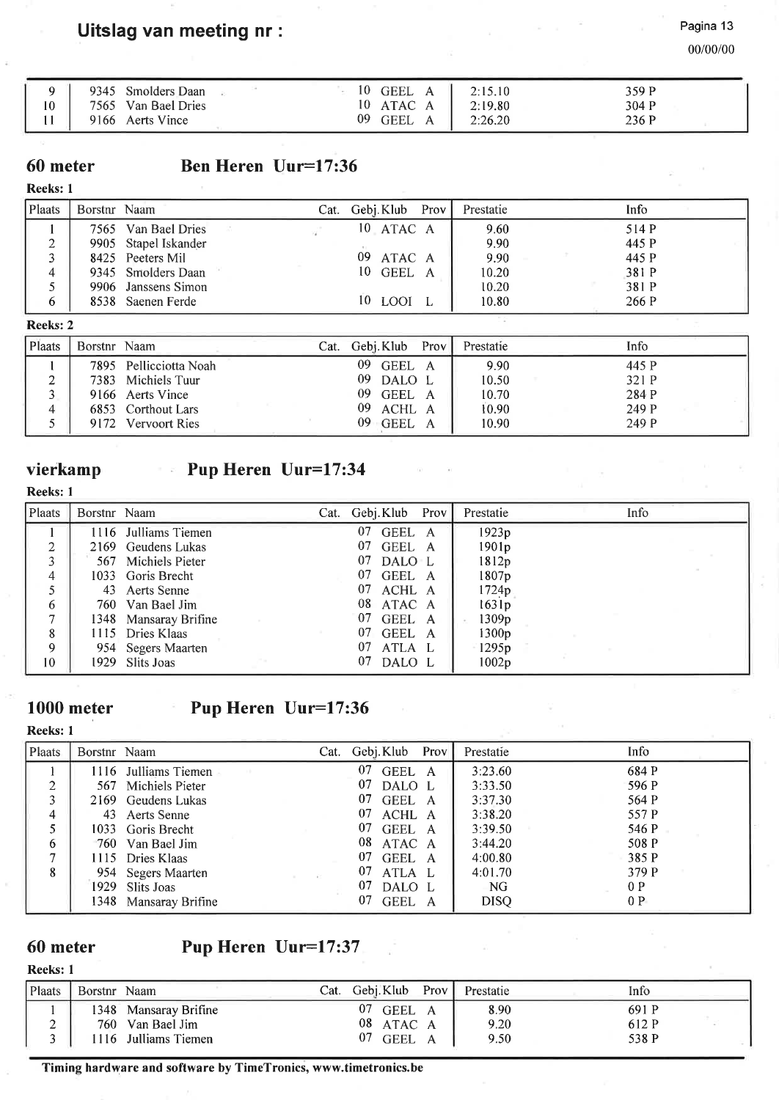Pagina 13

00/00/00

|    | 9345 Smolders Daan  |  | 10<br>GEEL A | 2:15.10 | 359 P |
|----|---------------------|--|--------------|---------|-------|
| 10 | 7565 Van Bael Dries |  | 10 ATAC A    | 2:19.80 | 304 P |
|    | 9166 Aerts Vince    |  | 09<br>GEEL   | 2:26.20 | 236 P |

### 60 meter

## Ben Heren Uur=17:36

#### Reeks: <sup>1</sup>

| Plaats | Borstnr Naam |                      | Cat. Gebj. Klub Prov | Prestatie | Info  |
|--------|--------------|----------------------|----------------------|-----------|-------|
|        |              | 7565 Van Bael Dries  | 10 ATAC A            | 9.60      | 514 P |
|        |              | 9905 Stapel Iskander |                      | 9.90      | 445 P |
|        |              | 8425 Peeters Mil     | 09<br>ATAC A         | 9.90      | 445 P |
|        |              | 9345 Smolders Daan   | 10 GEEL A            | 10.20     | 381 P |
|        |              | 9906 Janssens Simon  |                      | 10.20     | 381 P |
|        |              | 8538 Saenen Ferde    | 10 LOOI              | 10.80     | 266 P |

#### Reeks:2

| Plaats | Borstnr Naam |                        | Cat. | Gebj. Klub   | Prov | Prestatie | Info  |
|--------|--------------|------------------------|------|--------------|------|-----------|-------|
|        |              | 7895 Pellicciotta Noah |      | 09<br>GEEL A |      | 9.90      | 445 P |
|        |              | 7383 Michiels Tuur     |      | 09 DALO L    |      | 10.50     | 321 P |
|        |              | 9166 Aerts Vince       |      | 09 GEEL A    |      | 10.70     | 284 P |
|        |              | 6853 Corthout Lars     |      | 09 ACHL A    |      | 10.90     | 249 P |
|        |              | 9172 Vervoort Ries     |      | $09$ GEEL A  |      | 10.90     | 249 P |

#### vierkamp Pup Heren Uur=17:34

#### Reeks: I

| Reeks: 1 |              |                       |      |                |                   |      |
|----------|--------------|-----------------------|------|----------------|-------------------|------|
| Plaats   | Borstnr Naam |                       | Cat. | Gebj.Klub Prov | Prestatie         | Info |
|          |              | 1116 Julliams Tiemen  |      | 07<br>GEEL A   | 1923p             |      |
| ↑        |              | 2169 Geudens Lukas    |      | 07<br>GEEL A   | 1901 <sub>p</sub> |      |
| 3        |              | 567 Michiels Pieter   |      | 07<br>DALO L   | 1812p             |      |
| 4        |              | 1033 Goris Brecht     |      | 07 GEEL A      | 1807 <sub>p</sub> |      |
|          |              | 43 Aerts Senne        |      | 07 ACHL A      | 1724p             |      |
| 6        |              | 760 Van Bael Jim      |      | 08 ATAC A      | 1631p             |      |
| ⇁        |              | 1348 Mansaray Brifine |      | 07<br>GEEL A   | 1309 <sub>p</sub> |      |
| 8        |              | 1115 Dries Klaas      |      | 07<br>GEEL A   | 1300p             |      |
| 9        |              | 954 Segers Maarten    |      | 07<br>ATLA L   | 1295p             |      |

#### 1000 meter

1929

Slits Joas

# Pup Heren Uur=17:36

### Reeks: I

I 0

| Plaats         | Borstnr Naam |                       | Cat. Gebj. Klub Prov | Prestatie   | Info  |
|----------------|--------------|-----------------------|----------------------|-------------|-------|
|                | 1116         | Julliams Tiemen       | 07<br>GEEL A         | 3:23.60     | 684 P |
| $\overline{2}$ |              | 567 Michiels Pieter   | 07<br>DALO L         | 3:33.50     | 596 P |
| 3              |              | 2169 Geudens Lukas    | 07<br>GEEL A         | 3:37.30     | 564 P |
| 4              | 43           | Aerts Senne           | 07<br>ACHL A         | 3:38.20     | 557 P |
|                |              | 1033 Goris Brecht     | 07<br>GEEL A         | 3:39.50     | 546 P |
| 6              |              | 760 Van Bael Jim      | 08<br>ATAC A         | 3:44.20     | 508 P |
| $\overline{7}$ |              | 1115 Dries Klaas      | 07<br>GEEL A         | 4:00.80     | 385 P |
| 8              |              | 954 Segers Maarten    | 07<br>ATLA L         | 4:01.70     | 379 P |
|                |              | 1929 Slits Joas       | 07<br>DALO L         | NG.         | 0P    |
|                |              | 1348 Mansaray Brifine | GEEL A<br>07         | <b>DISQ</b> | 0 P   |

07 DALO L

1002p

### 60 meter

## Pup Heren Uur=17:37

### Reeks: I

| Plaats | Borstnr Naam |                     | Cat. | Gebi.Klub         | Prov | Prestatie | Info  |
|--------|--------------|---------------------|------|-------------------|------|-----------|-------|
|        | 348          | Mansaray Brifine    |      | 07<br>GEEL A      |      | 8.90      | 691 P |
|        |              | 760 Van Bael Jim    |      | 08 ATAC A         |      | 9.20      | 612 P |
|        |              | 116 Julliams Tiemen |      | 07<br><b>GEEL</b> |      | 9.50      | 538 P |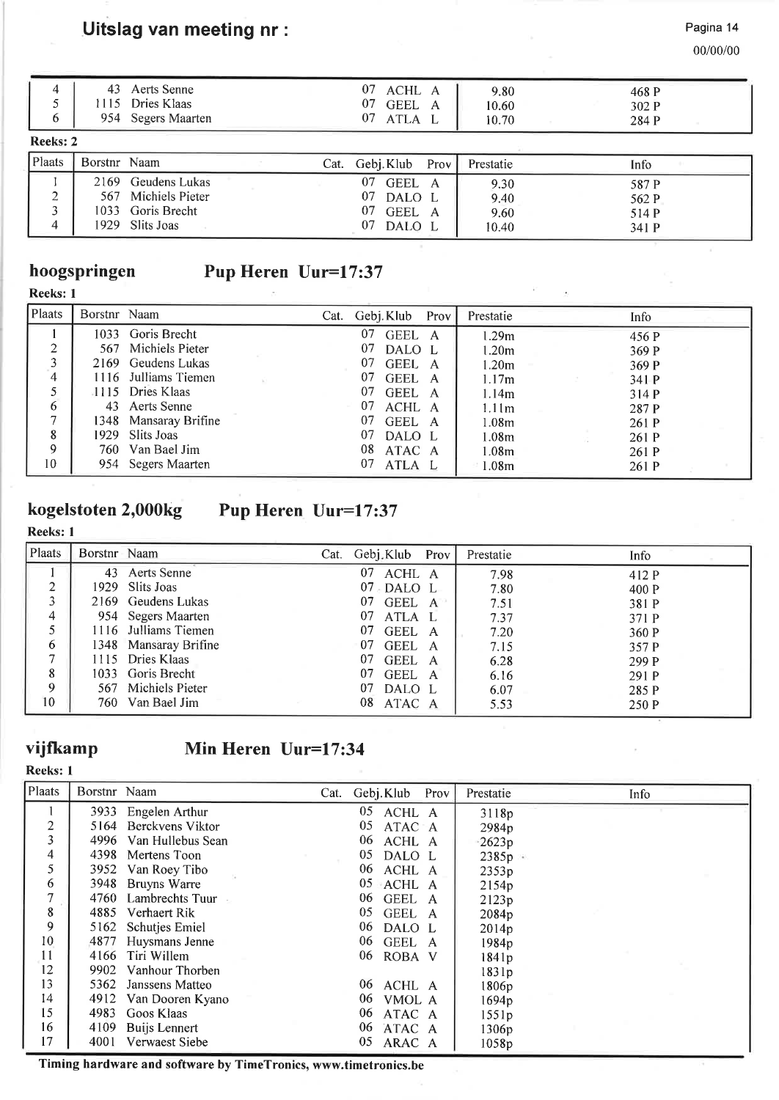Pagina 14

00/00/00

341 P

| 4<br>6   | 43           | Aerts Senne<br>1115 Dries Klaas<br>954 Segers Maarten |  | 07<br>ACHL A<br>07<br>GEEL A<br>07<br>ATLA L |      | 9.80<br>10.60<br>10.70 | 468 P<br>302 P<br>284 P |
|----------|--------------|-------------------------------------------------------|--|----------------------------------------------|------|------------------------|-------------------------|
| Reeks: 2 |              |                                                       |  |                                              |      |                        |                         |
| Plaats   | Borstnr Naam |                                                       |  | Cat. Gebj. Klub                              | Prov | Prestatie              | Info                    |
|          | 2169         | Geudens Lukas                                         |  | -07<br>GEEL A                                |      | 9.30                   | 587 P                   |
| ົ        |              | 567 Michiels Pieter                                   |  | 07<br>DALO L                                 |      | 9.40                   | 562 P                   |
|          |              | 1033 Goris Brecht                                     |  | 07<br>GEEL A                                 |      | 9.60                   | 514 P                   |
|          |              |                                                       |  |                                              |      |                        |                         |

## hoogspringen Pup Heren Uur=17:37

| Reeks: |
|--------|
|--------|

| 133583. I   |              |                       |                 |       |                   |             |  |
|-------------|--------------|-----------------------|-----------------|-------|-------------------|-------------|--|
| Plaats      | Borstnr Naam |                       | Cat. Gebj. Klub | Prov' | Prestatie         | <b>Info</b> |  |
|             | 1033         | Goris Brecht          | 07<br>GEEL A    |       | 1.29m             | 456 P       |  |
| ↑           |              | 567 Michiels Pieter   | 07<br>DALO L    |       | 1.20 <sub>m</sub> | 369 P       |  |
| 3           |              | 2169 Geudens Lukas    | 07<br>GEEL A    |       | 1.20 <sub>m</sub> | 369 P       |  |
| 4           |              | 1116 Julliams Tiemen  | 07<br>GEEL A    |       | 1.17m             | 341 P       |  |
|             |              | 1115 Dries Klaas      | 07<br>GEEL A    |       | 1.14m             | 314P        |  |
| 6           |              | 43 Aerts Senne        | 07<br>ACHL A    |       | 1.11 <sub>m</sub> | 287 P       |  |
| ⇁           |              | 1348 Mansaray Brifine | 07<br>GEEL A    |       | 1.08 <sub>m</sub> | 261 P       |  |
| 8           |              | 1929 Slits Joas       | 07<br>DALO L    |       | 1.08 <sub>m</sub> | 261 P       |  |
| $\mathbf Q$ |              | 760 Van Bael Jim      | 08<br>ATAC A    |       | 1.08 <sub>m</sub> | 261 P       |  |
| 10          | 954          | <b>Segers Maarten</b> | 07<br>ATLA L    |       | 1.08m             | 261 P       |  |

## kogelstoten 2,000kg Pup Heren Uur=17:37

## Reeks: I

| Plaats         | Borstnr Naam |                       | Cat. Gebj.Klub Prov      | Prestatie | Info  |
|----------------|--------------|-----------------------|--------------------------|-----------|-------|
|                | 43           | Aerts Senne           | 07<br>ACHL A             | 7.98      | 412 P |
| 2              |              | 1929 Slits Joas       | $07 \cdot \text{DALO}$ L | 7.80      | 400 P |
| 3              |              | 2169 Geudens Lukas    | 07<br>GEEL A             | 7.51      | 381 P |
| $\overline{4}$ |              | 954 Segers Maarten    | 07<br>ATLA L             | 7.37      | 371 P |
| 5              |              | 1116 Julliams Tiemen  | 07<br>GEEL A             | 7.20      | 360 P |
| 6              |              | 1348 Mansaray Brifine | 07<br>GEEL A             | 7.15      | 357 P |
| 7              |              | 1115 Dries Klaas      | 07<br>GEEL A             | 6.28      | 299 P |
| 8              |              | 1033 Goris Brecht     | 07<br>GEEL A             | 6.16      | 291 P |
| 9              | 567          | Michiels Pieter       | 07<br>DALO L             | 6.07      | 285 P |
| 10             |              | 760 Van Bael Jim      | 08<br>ATAC A             | 5.53      | 250 P |

## vijÍkamp

Reeks: I

## Min Heren Uur=17:34

| Plaats  | Borstnr Naam |                       | Cat. | Gebj. Klub   | Prov | Prestatie         | Info |
|---------|--------------|-----------------------|------|--------------|------|-------------------|------|
|         | 3933         | Engelen Arthur        |      | 05<br>ACHL A |      | 3118p             |      |
| 2       |              | 5164 Berckvens Viktor |      | 05<br>ATAC A |      | 2984 <sub>p</sub> |      |
| 3       | 4996         | Van Hullebus Sean     |      | 06<br>ACHL A |      | $-2623p$          |      |
| 4       | 4398         | Mertens Toon          |      | 05<br>DALO L |      | 2385p             |      |
| 5       | 3952         | Van Roey Tibo         |      | 06<br>ACHL A |      | 2353p             |      |
| 6       | 3948         | Bruyns Warre          |      | 05<br>ACHL A |      | 2154p             |      |
| 7       | 4760         | Lambrechts Tuur       |      | 06<br>GEEL A |      | 2123p             |      |
| $\bf 8$ | 4885         | Verhaert Rik          |      | 05<br>GEEL A |      | 2084p             |      |
| 9       |              | 5162 Schutjes Emiel   |      | 06<br>DALO L |      | 2014p             |      |
| 10      | 4877         | Huysmans Jenne        |      | 06<br>GEEL A |      | 1984 <sub>p</sub> |      |
| 11      | 4166         | Tiri Willem           |      | 06<br>ROBA V |      | 1841p             |      |
| 12      | 9902         | Vanhour Thorben       |      |              |      | 1831p             |      |
| 13      | 5362         | Janssens Matteo       |      | 06<br>ACHL A |      | 1806p             |      |
| 14      | 4912         | Van Dooren Kyano      |      | 06<br>VMOL A |      | 1694p             |      |
| 15      | 4983         | Goos Klaas            |      | 06<br>ATAC A |      | 1551p             |      |
| 16      | 4109         | <b>Buijs Lennert</b>  |      | 06<br>ATAC A |      | 1306p             |      |
| 17      | 4001         | Verwaest Siebe        |      | 05<br>ARAC A |      | 1058p             |      |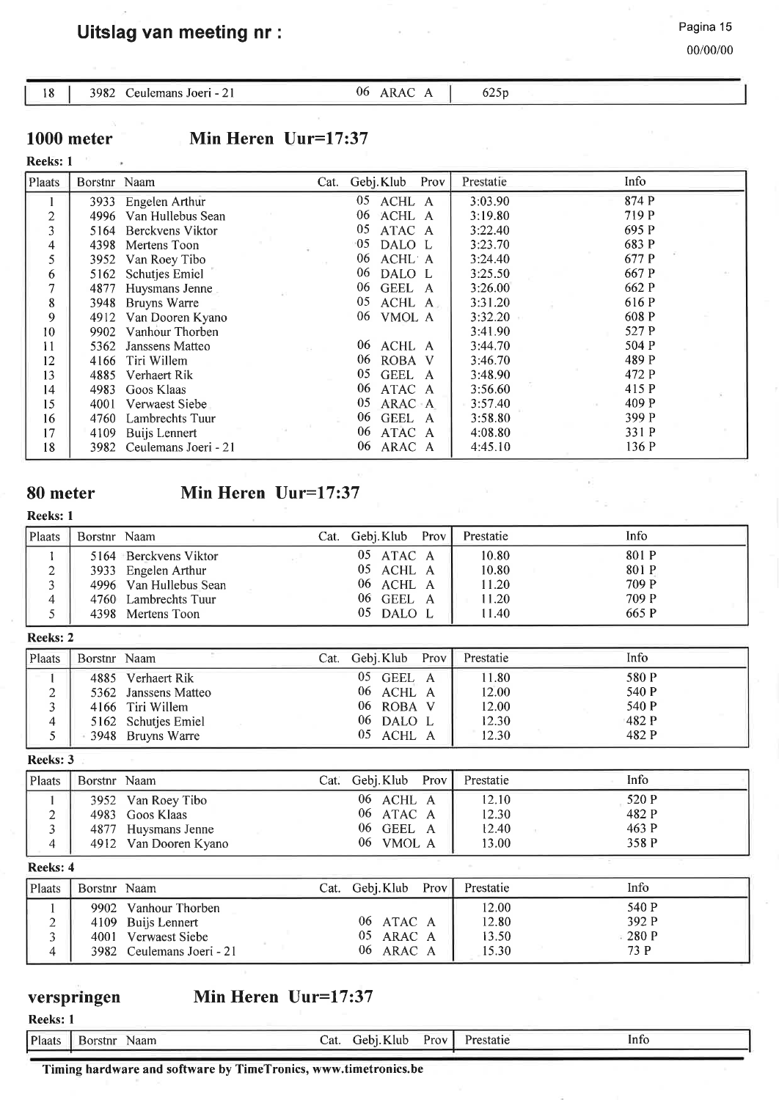00/00/00

#### 18 | 3982 Ceulemans Joeri - 21 06 ARAC A | 625p

1000 meter

## Min Heren Uur=17:37

#### Reeks: <sup>1</sup>

| Plaats         | Borstnr Naam |                      | Cat. | Gebj. Klub<br>Prov | Info<br>Prestatie |  |
|----------------|--------------|----------------------|------|--------------------|-------------------|--|
|                | 3933         | Engelen Arthur       |      | 05<br>ACHL A       | 874 P<br>3:03.90  |  |
| $\overline{2}$ | 4996         | Van Hullebus Sean    |      | 06<br>ACHL A       | 719 P<br>3:19.80  |  |
| 3              | 5164         | Berckvens Viktor     |      | 05<br>ATAC A       | 695 P<br>3:22.40  |  |
| 4              | 4398         | Mertens Toon         |      | $-05$<br>DALO L    | 683 P<br>3:23.70  |  |
| 5              | 3952         | Van Roey Tibo        |      | 06<br>ACHL A       | 677 P<br>3:24.40  |  |
| 6              | 5162         | Schutjes Emiel       |      | 06<br>DALO L       | 667 P<br>3:25.50  |  |
| 7              | 4877         | Huysmans Jenne       |      | 06<br>GEEL A       | 662 P<br>3:26.00  |  |
| 8              | 3948         | Bruyns Warre         |      | 05<br>ACHL A       | 616 P<br>3:31.20  |  |
| 9              | 4912         | Van Dooren Kyano     |      | 06<br>VMOL A       | 608 P<br>3:32.20  |  |
| 10             | 9902         | Vanhour Thorben      |      |                    | 527 P<br>3:41.90  |  |
| 11             | 5362         | Janssens Matteo      |      | ACHL A<br>06       | 504 P<br>3:44.70  |  |
| 12             | 4166         | Tiri Willem          |      | 06<br>ROBA V       | 489 P<br>3:46.70  |  |
| 13             | 4885         | Verhaert Rik         |      | 05<br>GEEL A       | 472 P<br>3:48.90  |  |
| 14             | 4983         | Goos Klaas           |      | ATAC A<br>06       | 415 P<br>3:56.60  |  |
| 15             | 4001         | Verwaest Siebe       |      | 05<br>ARAC A       | 3:57.40<br>409 P  |  |
| 16             | 4760         | Lambrechts Tuur      |      | GEEL A<br>06       | 399 P<br>3:58.80  |  |
| 17             | 4109         | Buijs Lennert        |      | 06<br>ATAC A       | 331 P<br>4:08.80  |  |
| 18             | 3982         | Ceulemans Joeri - 21 |      | 06<br>ARAC A       | 136 P<br>4:45.10  |  |

### 80 meter

## Min Heren Uur=17:37

Reeks: I

| Plaats | Borstnr Naam |                        | Cat. Gebj.Klub Prov | Prestatie | Info  |
|--------|--------------|------------------------|---------------------|-----------|-------|
|        |              | 5164 Berckvens Viktor  | 05 ATAC A           | 10.80     | 801 P |
|        |              | 3933 Engelen Arthur    | 05 ACHL A           | 10.80     | 801 P |
|        |              | 4996 Van Hullebus Sean | 06 ACHL A           | 11.20     | 709 P |
|        |              | 4760 Lambrechts Tuur   | 06 GEEL A           | 11.20     | 709 P |
|        |              | 4398 Mertens Toon      | 05 DALO L           | 11.40     | 665 P |

#### Reeks:2

| Plaats | Borstnr Naam |                      | Cat. | Gebi.Klub     | Prov | Prestatie | Info  |
|--------|--------------|----------------------|------|---------------|------|-----------|-------|
|        | 4885         | Verhaert Rik         |      | 05.<br>GEEL A |      | 11.80     | 580 P |
|        |              | 5362 Janssens Matteo |      | 06.<br>ACHL A |      | 12.00     | 540 P |
|        |              | 4166 Tiri Willem     |      | 06 ROBA V     |      | 12.00     | 540 P |
|        |              | 5162 Schutjes Emiel  |      | 06 DALO L     |      | 12.30     | 482 P |
|        |              | 3948 Bruyns Warre    |      | 05.<br>ACHL A |      | 12.30     | 482 P |

Reeks:3

| Plaats | Borstnr Naam |                       | Cat. | Gebi.Klub   | Prov | Prestatie | Info  |
|--------|--------------|-----------------------|------|-------------|------|-----------|-------|
|        |              | 3952 Van Roey Tibo    |      | 06 ACHL A   |      | 12.10     | 520 P |
|        |              | 4983 Goos Klaas       |      | 06 ATAC A   |      | 12.30     | 482 P |
|        |              | 4877 Huysmans Jenne   |      | 06 GEEL A   |      | 12.40     | 463 P |
|        |              | 4912 Van Dooren Kyano |      | $06$ VMOL A |      | 13.00     | 358 P |

Reeks: 4

| Plaats | Borstnr Naam |                           | Cat. | Gebj. Klub | Prov | Prestatie | Info    |
|--------|--------------|---------------------------|------|------------|------|-----------|---------|
|        | 9902         | Vanhour Thorben           |      |            |      | 12.00     | 540 P   |
|        |              | 4109 Buijs Lennert        |      | 06 ATAC A  |      | 12.80     | 392 P   |
|        | 4001         | Verwaest Siebe            |      | 05 ARAC A  |      | 13.50     | $-280P$ |
|        |              | 3982 Ceulemans Joeri - 21 |      | 06 ARAC A  |      | 15.30     | 73 P    |

#### verspringen Min Heren Uur=17:37

Reeks: I

| Plaats | Naam<br>Borstnr | ∠at | K lub -<br>iehi. | $v_{\rm{row}}$ . | Prestatie | ш |
|--------|-----------------|-----|------------------|------------------|-----------|---|
|        |                 |     |                  |                  |           |   |